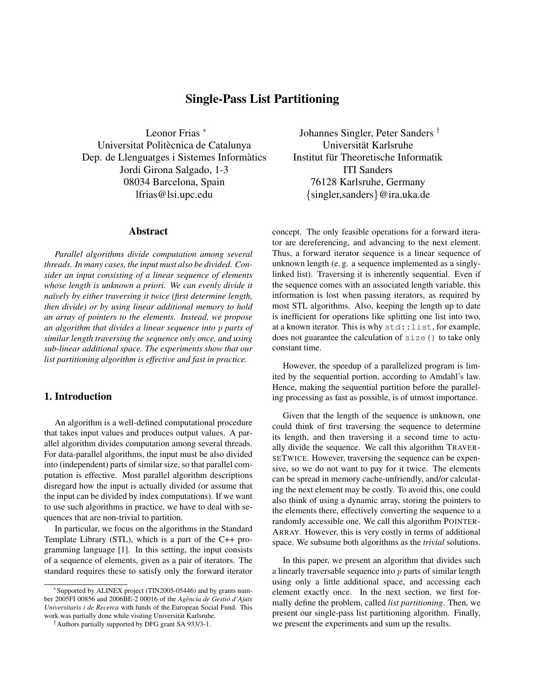# Single-Pass List Partitioning

Leonor Frias <sup>∗</sup> Universitat Politècnica de Catalunya Dep. de Llenguatges i Sistemes Informatics ` Jordi Girona Salgado, 1-3 08034 Barcelona, Spain lfrias@lsi.upc.edu

#### Abstract

*Parallel algorithms divide computation among several threads. In many cases, the input must also be divided. Consider an input consisting of a linear sequence of elements whose length is unknown a priori. We can evenly divide it na¨ıvely by either traversing it twice (first determine length, then divide) or by using linear additional memory to hold an array of pointers to the elements. Instead, we propose an algorithm that divides a linear sequence into* p *parts of similar length traversing the sequence only once, and using sub-linear additional space. The experiments show that our list partitioning algorithm is effective and fast in practice.*

## 1. Introduction

An algorithm is a well-defined computational procedure that takes input values and produces output values. A parallel algorithm divides computation among several threads. For data-parallel algorithms, the input must be also divided into (independent) parts of similar size, so that parallel computation is effective. Most parallel algorithm descriptions disregard how the input is actually divided (or assume that the input can be divided by index computations). If we want to use such algorithms in practice, we have to deal with sequences that are non-trivial to partition.

In particular, we focus on the algorithms in the Standard Template Library (STL), which is a part of the C++ programming language [1]. In this setting, the input consists of a sequence of elements, given as a pair of iterators. The standard requires these to satisfy only the forward iterator

Johannes Singler, Peter Sanders † Universität Karlsruhe Institut fur Theoretische Informatik ¨ ITI Sanders 76128 Karlsruhe, Germany {singler,sanders}@ira.uka.de

concept. The only feasible operations for a forward iterator are dereferencing, and advancing to the next element. Thus, a forward iterator sequence is a linear sequence of unknown length (e. g. a sequence implemented as a singlylinked list). Traversing it is inherently sequential. Even if the sequence comes with an associated length variable, this information is lost when passing iterators, as required by most STL algorithms. Also, keeping the length up to date is inefficient for operations like splitting one list into two, at a known iterator. This is why std::list, for example, does not guarantee the calculation of  $size()$  to take only constant time.

However, the speedup of a parallelized program is limited by the sequential portion, according to Amdahl's law. Hence, making the sequential partition before the paralleling processing as fast as possible, is of utmost importance.

Given that the length of the sequence is unknown, one could think of first traversing the sequence to determine its length, and then traversing it a second time to actually divide the sequence. We call this algorithm TRAVER-SETWICE. However, traversing the sequence can be expensive, so we do not want to pay for it twice. The elements can be spread in memory cache-unfriendly, and/or calculating the next element may be costly. To avoid this, one could also think of using a dynamic array, storing the pointers to the elements there, effectively converting the sequence to a randomly accessible one. We call this algorithm POINTER-ARRAY. However, this is very costly in terms of additional space. We subsume both algorithms as the *trivial* solutions.

In this paper, we present an algorithm that divides such a linearly traversable sequence into  $p$  parts of similar length using only a little additional space, and accessing each element exactly once. In the next section, we first formally define the problem, called *list partitioning*. Then, we present our single-pass list partitioning algorithm. Finally, we present the experiments and sum up the results.

<sup>∗</sup>Supported by ALINEX project (TIN2005-05446) and by grants number 2005FI 00856 and 2006BE-2 00016 of the *Agència de Gestió d'Ajuts Universitaris i de Recerca* with funds of the European Social Fund. This work was partially done while visiting Universität Karlsruhe.

<sup>†</sup>Authors partially supported by DFG grant SA 933/3-1.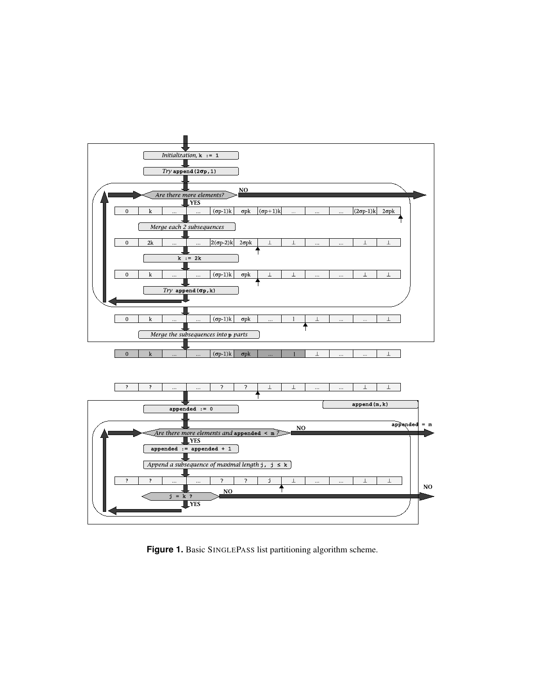

Figure 1. Basic SINGLEPASS list partitioning algorithm scheme.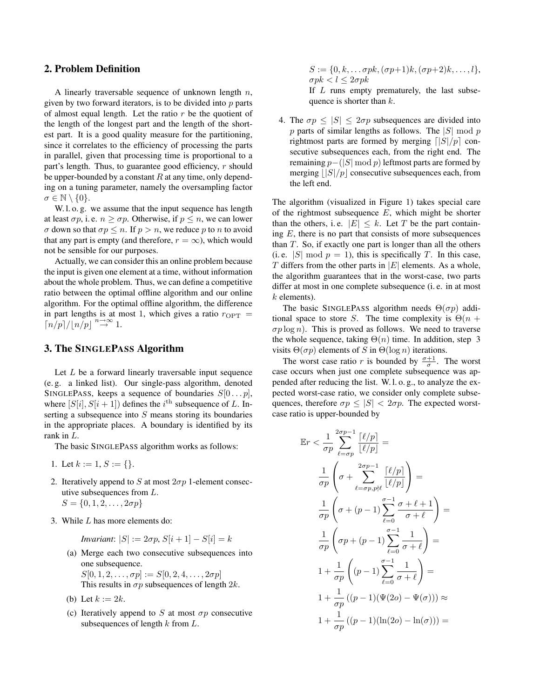# 2. Problem Definition

A linearly traversable sequence of unknown length  $n$ , given by two forward iterators, is to be divided into  $p$  parts of almost equal length. Let the ratio  $r$  be the quotient of the length of the longest part and the length of the shortest part. It is a good quality measure for the partitioning, since it correlates to the efficiency of processing the parts in parallel, given that processing time is proportional to a part's length. Thus, to guarantee good efficiency, r should be upper-bounded by a constant  $R$  at any time, only depending on a tuning parameter, namely the oversampling factor  $\sigma \in \mathbb{N} \setminus \{0\}.$ 

W. l. o. g. we assume that the input sequence has length at least  $\sigma p$ , i.e.  $n \geq \sigma p$ . Otherwise, if  $p \leq n$ , we can lower  $\sigma$  down so that  $\sigma p \leq n$ . If  $p > n$ , we reduce p to n to avoid that any part is empty (and therefore,  $r = \infty$ ), which would not be sensible for our purposes.

Actually, we can consider this an online problem because the input is given one element at a time, without information about the whole problem. Thus, we can define a competitive ratio between the optimal offline algorithm and our online algorithm. For the optimal offline algorithm, the difference in part lengths is at most 1, which gives a ratio  $r_{\text{OPT}} =$  $\lceil n/p \rceil / \lfloor n/p \rfloor \stackrel{n \to \infty}{\to} 1.$ 

# 3. The SINGLEPASS Algorithm

Let  $L$  be a forward linearly traversable input sequence (e. g. a linked list). Our single-pass algorithm, denoted SINGLEPASS, keeps a sequence of boundaries  $S[0 \dots p]$ , where  $[S[i], S[i+1])$  defines the  $i<sup>th</sup>$  subsequence of L. Inserting a subsequence into  $S$  means storing its boundaries in the appropriate places. A boundary is identified by its rank in L.

The basic SINGLEPASS algorithm works as follows:

1. Let  $k := 1, S := \{\}.$ 

- 2. Iteratively append to S at most  $2\sigma p$  1-element consecutive subsequences from L.  $S = \{0, 1, 2, \ldots, 2\sigma p\}$
- 3. While L has more elements do:

*Invariant*:  $|S| := 2\sigma p$ ,  $S[i + 1] - S[i] = k$ 

(a) Merge each two consecutive subsequences into one subsequence.  $S[0, 1, 2, \ldots, \sigma p] := S[0, 2, 4, \ldots, 2\sigma p]$ 

This results in  $\sigma p$  subsequences of length 2k.

- (b) Let  $k := 2k$ .
- (c) Iteratively append to S at most  $\sigma p$  consecutive subsequences of length  $k$  from  $L$ .

 $S := \{0, k, \ldots \sigma pk, (\sigma p+1)k, (\sigma p+2)k, \ldots, l\},\$ σpk < l ≤ 2σpk If  $L$  runs empty prematurely, the last subsequence is shorter than  $k$ .

4. The  $\sigma p \leq |S| \leq 2\sigma p$  subsequences are divided into  $p$  parts of similar lengths as follows. The  $|S| \bmod p$ rightmost parts are formed by merging  $\lfloor |S|/p \rfloor$  consecutive subsequences each, from the right end. The remaining  $p-(|S| \mod p)$  leftmost parts are formed by merging  $||S|/p$  consecutive subsequences each, from the left end.

The algorithm (visualized in Figure 1) takes special care of the rightmost subsequence  $E$ , which might be shorter than the others, i.e.  $|E| \leq k$ . Let T be the part containing  $E$ , there is no part that consists of more subsequences than  $T$ . So, if exactly one part is longer than all the others (i.e.  $|S| \mod p = 1$ ), this is specifically T. In this case, T differs from the other parts in  $|E|$  elements. As a whole, the algorithm guarantees that in the worst-case, two parts differ at most in one complete subsequence (i. e. in at most  $k$  elements).

The basic SINGLEPASS algorithm needs  $\Theta(\sigma p)$  additional space to store S. The time complexity is  $\Theta(n +$  $\sigma p \log n$ ). This is proved as follows. We need to traverse the whole sequence, taking  $\Theta(n)$  time. In addition, step 3 visits  $\Theta(\sigma p)$  elements of S in  $\Theta(\log n)$  iterations.

The worst case ratio r is bounded by  $\frac{\sigma+1}{\sigma}$ . The worst case occurs when just one complete subsequence was appended after reducing the list. W. l. o. g., to analyze the expected worst-case ratio, we consider only complete subsequences, therefore  $\sigma p \leq |S| < 2\sigma p$ . The expected worstcase ratio is upper-bounded by

$$
\mathbb{E}r < \frac{1}{\sigma p} \sum_{\ell=\sigma p}^{2\sigma p-1} \frac{\lceil \ell/p \rceil}{\lceil \ell/p \rceil} =
$$
\n
$$
\frac{1}{\sigma p} \left( \sigma + \sum_{\ell=\sigma p, p \nmid \ell}^{2\sigma p-1} \frac{\lceil \ell/p \rceil}{\lceil \ell/p \rceil} \right) =
$$
\n
$$
\frac{1}{\sigma p} \left( \sigma + (p-1) \sum_{\ell=0}^{\sigma-1} \frac{\sigma + \ell + 1}{\sigma + \ell} \right) =
$$
\n
$$
\frac{1}{\sigma p} \left( \sigma p + (p-1) \sum_{\ell=0}^{\sigma-1} \frac{1}{\sigma + \ell} \right) =
$$
\n
$$
1 + \frac{1}{\sigma p} \left( (p-1) \sum_{\ell=0}^{\sigma-1} \frac{1}{\sigma + \ell} \right) =
$$
\n
$$
1 + \frac{1}{\sigma p} \left( (p-1)(\Psi(2\sigma) - \Psi(\sigma)) \right) \approx
$$
\n
$$
1 + \frac{1}{\sigma p} \left( (p-1)(\ln(2\sigma) - \ln(\sigma)) \right) =
$$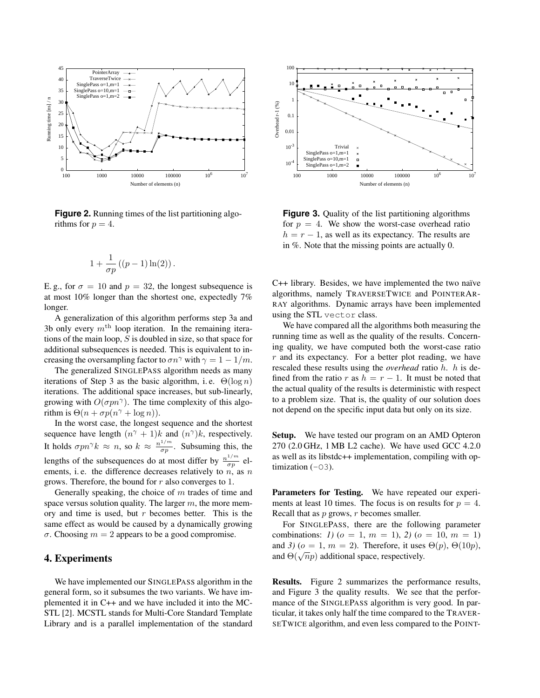

**Figure 2.** Running times of the list partitioning algorithms for  $p = 4$ .

$$
1+\frac{1}{\sigma p}\left((p-1)\ln(2)\right).
$$

E. g., for  $\sigma = 10$  and  $p = 32$ , the longest subsequence is at most 10% longer than the shortest one, expectedly 7% longer.

A generalization of this algorithm performs step 3a and 3b only every  $m<sup>th</sup>$  loop iteration. In the remaining iterations of the main loop, S is doubled in size, so that space for additional subsequences is needed. This is equivalent to increasing the oversampling factor to  $\sigma n^{\gamma}$  with  $\gamma = 1 - 1/m$ .

The generalized SINGLEPASS algorithm needs as many iterations of Step 3 as the basic algorithm, i.e.  $\Theta(\log n)$ iterations. The additional space increases, but sub-linearly, growing with  $O(\sigma pn^{\gamma})$ . The time complexity of this algorithm is  $\Theta(n + \sigma p(n^{\gamma} + \log n)).$ 

In the worst case, the longest sequence and the shortest sequence have length  $(n^{\gamma} + 1)k$  and  $(n^{\gamma})k$ , respectively. It holds  $\sigma pn^{\gamma}k \approx n$ , so  $k \approx \frac{n^{1/m}}{\sigma n}$  $\frac{f}{\sigma p}$ . Subsuming this, the lengths of the subsequences do at most differ by  $\frac{n^{1/m}}{2m}$  $rac{1}{\sigma p}$  elements, i.e. the difference decreases relatively to  $n<sub>i</sub>$ , as n grows. Therefore, the bound for r also converges to 1.

Generally speaking, the choice of m trades of time and space versus solution quality. The larger  $m$ , the more memory and time is used, but  $r$  becomes better. This is the same effect as would be caused by a dynamically growing σ. Choosing  $m = 2$  appears to be a good compromise.

### 4. Experiments

We have implemented our SINGLEPASS algorithm in the general form, so it subsumes the two variants. We have implemented it in C++ and we have included it into the MC-STL [2]. MCSTL stands for Multi-Core Standard Template Library and is a parallel implementation of the standard



**Figure 3.** Quality of the list partitioning algorithms for  $p = 4$ . We show the worst-case overhead ratio  $h = r - 1$ , as well as its expectancy. The results are in %. Note that the missing points are actually 0.

C++ library. Besides, we have implemented the two naïve algorithms, namely TRAVERSETWICE and POINTERAR-RAY algorithms. Dynamic arrays have been implemented using the STL vector class.

We have compared all the algorithms both measuring the running time as well as the quality of the results. Concerning quality, we have computed both the worst-case ratio  $r$  and its expectancy. For a better plot reading, we have rescaled these results using the *overhead* ratio h. h is defined from the ratio r as  $h = r - 1$ . It must be noted that the actual quality of the results is deterministic with respect to a problem size. That is, the quality of our solution does not depend on the specific input data but only on its size.

Setup. We have tested our program on an AMD Opteron 270 (2.0 GHz, 1 MB L2 cache). We have used GCC 4.2.0 as well as its libstdc++ implementation, compiling with optimization  $(-03)$ .

Parameters for Testing. We have repeated our experiments at least 10 times. The focus is on results for  $p = 4$ . Recall that as  $p$  grows,  $r$  becomes smaller.

For SINGLEPASS, there are the following parameter combinations: *1*) ( $o = 1$ ,  $m = 1$ ), 2) ( $o = 10$ ,  $m = 1$ ) and 3) ( $o = 1$ ,  $m = 2$ ). Therefore, it uses  $\Theta(p)$ ,  $\Theta(10p)$ , and  $\Theta(\sqrt{n}p)$  additional space, respectively.

Results. Figure 2 summarizes the performance results, and Figure 3 the quality results. We see that the performance of the SINGLEPASS algorithm is very good. In particular, it takes only half the time compared to the TRAVER-SETWICE algorithm, and even less compared to the POINT-